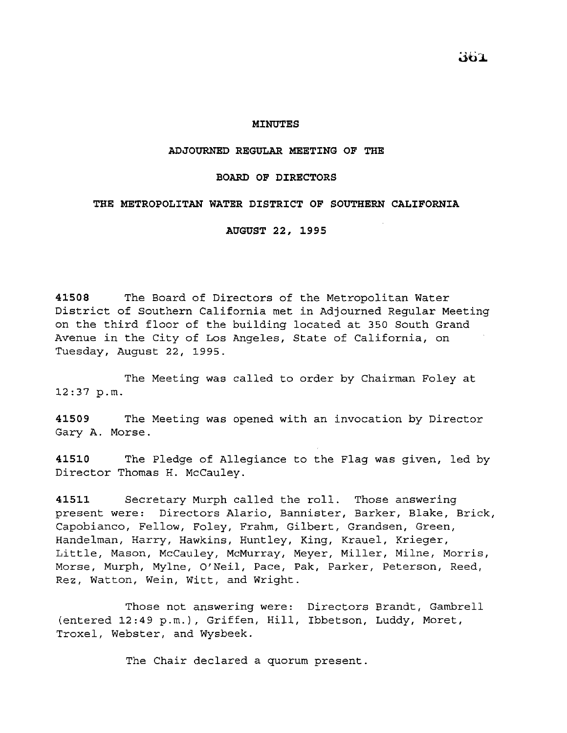### **MINUTES**

#### **ADJOURNED REGULAR MEETING OF THE**

#### **BOARD OF DIRECTORS**

### **THE METROPOLITAN WATER DISTRICT OF SOUTHERN CALIFORNIA**

**AUGUST 22, 1995** 

**41508** The Board of Directors of the Metropolitan Water District of Southern California met in Adjourned Regular Meeting on the third floor of the building located at 350 South Grand Avenue in the City of Los Angeles, State of California, on Tuesday, August 22, 1995.

The Meeting was called to order by Chairman Foley at 12:37 p.m.

**41509** The Meeting was opened with an invocation by Director Gary A. Morse.

**41510** The Pledge of Allegiance to the Flag was given, led by Director Thomas H. McCauley.

**41511** Secretary Murph called the roll. Those answering present were: Directors Alaric, Bannister, Barker, Blake, Brick, Capobianco, Fellow, Foley, Frahm, Gilbert, Grandsen, Green, Handelman, Harry, Hawkins, Huntley, King, Krauel, Krieger, Little, Mason, McCauley, McMurray, Meyer, Miller, Milne, Morris, Morse, Murph, Mylne, O'Neil, Pace, Pak, Parker, Peterson, Reed, Rez, Watton, Wein, Witt, and Wright.

Those not answering were: Directors Brandt, Gambrell (entered 12:49 p.m.), Griffen, Hill, Ibbetson, Luddy, Moret, Troxel, Webster, and Wysbeek.

The Chair declared a quorum present.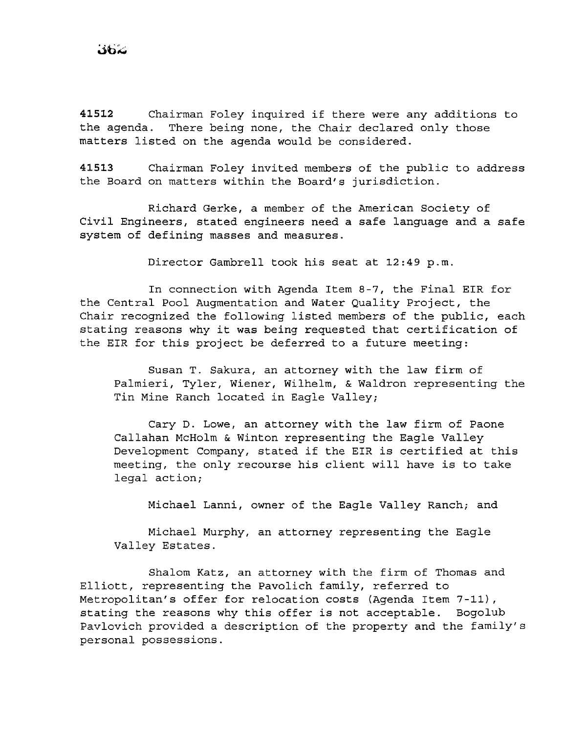**<sup>41512</sup>**Chairman Foley inquired if there were any additions to the agenda. There being none, the Chair declared only those matters listed on the agenda would be considered.

**41513** Chairman Foley invited members of the public to address the Board on matters within the Board's jurisdiction.

Richard Gerke, a member of the American Society of Civil Engineers, stated engineers need a safe language and a safe system of defining masses and measures.

Director Gambrell took his seat at 12:49 p.m.

In connection with Agenda Item 8-7, the Final EIR for the Central Pool Augmentation and Water Quality Project, the Chair recognized the following listed members of the public, each stating reasons why it was being requested that certification of the EIR for this project be deferred to a future meeting:

Susan T. Sakura, an attorney with the law firm of Palmieri, Tyler, Wiener, Wilhelm, & Waldron representing the Tin Mine Ranch located in Eagle Valley;

Cary D. Lowe, an attorney with the law firm of Paone Callahan McHolm & Winton representing the Eagle Valley Development Company, stated if the EIR is certified at this meeting, the only recourse his client will have is to take legal action;

Michael Lanni, owner of the Eagle Valley Ranch; and

Michael Murphy, an attorney representing the Eagle Valley Estates.

Shalom Katz, an attorney with the firm of Thomas and Elliott, representing the Pavolich family, referred to Metropolitan's offer for relocation costs (Agenda Item 7-11), stating the reasons why this offer is not acceptable. Bogolub Pavlovich provided a description of the property and the family's personal possessions.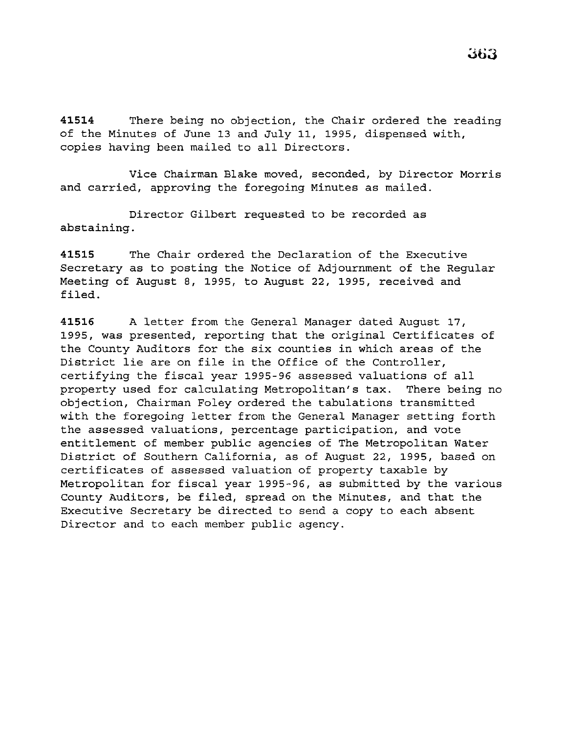41514 There being no objection, the Chair ordered the reading of the Minutes of June 13 and July 11, 1995, dispensed with, copies having been mailed to all Directors.

Vice Chairman Blake moved, seconded, by Director Morris and carried, approving the foregoing Minutes as mailed.

Director Gilbert requested to be recorded as abstaining.

**41515** The Chair ordered the Declaration of the Executive Secretary as to posting the Notice of Adjournment of the Regular Meeting of August 8, 1995, to August 22, 1995, received and filed.

**41516** A letter from the General Manager dated August 17, 1995, was presented, reporting that the original Certificates of the County Auditors for the six counties in which areas of the District lie are on file in the Office of the Controller, certifying the fiscal year 1995-96 assessed valuations of all property used for calculating Metropolitan's tax. There being no objection, Chairman Foley ordered the tabulations transmitted with the foregoing letter from the General Manager setting forth the assessed valuations, percentage participation, and vote entitlement of member public agencies of The Metropolitan Water District of Southern California, as of August 22, 1995, based on certificates of assessed valuation of property taxable by Metropolitan for fiscal year 1995-96, as submitted by the various County Auditors, be filed, spread on the Minutes, and that the Executive Secretary be directed to send a copy to each absent Director and to each member public agency.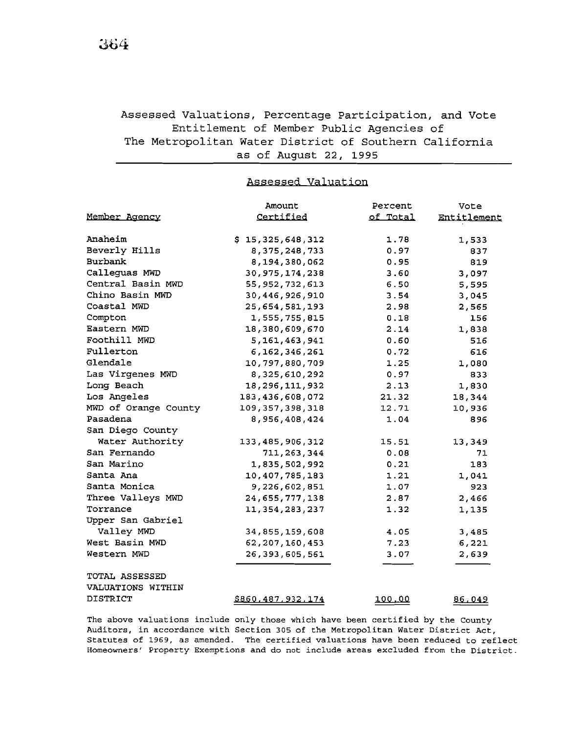# Assessed Valuations, Percentage Participation, and Vote Entitlement of Member Public Agencies of The Metropolitan Water District of Southern California as of August 22, 1995

### Assessed Valuation

|                      | Amount             | Percent  | Vote        |
|----------------------|--------------------|----------|-------------|
| Member Agency        | Certified          | of Total | Entitlement |
|                      |                    |          |             |
| Anaheim              | \$15,325,648,312   | 1.78     | 1,533       |
| Beverly Hills        | 8, 375, 248, 733   | 0.97     | 837         |
| <b>Burbank</b>       | 8,194,380,062      | 0.95     | 819         |
| Calleguas MWD        | 30, 975, 174, 238  | 3.60     | 3,097       |
| Central Basin MWD    | 55, 952, 732, 613  | 6.50     | 5,595       |
| Chino Basin MWD      | 30, 446, 926, 910  | 3.54     | 3,045       |
| Coastal MWD          | 25,654,581,193     | 2.98     | 2,565       |
| Compton              | 1,555,755,815      | 0.18     | 156         |
| Eastern MWD          | 18,380,609,670     | 2.14     | 1,838       |
| Foothill MWD         | 5, 161, 463, 941   | 0.60     | 516         |
| Fullerton            | 6, 162, 346, 261   | 0.72     | 616         |
| Glendale             | 10,797,880,709     | 1.25     | 1,080       |
| Las Virgenes MWD     | 8, 325, 610, 292   | 0.97     | 833         |
| Long Beach           | 18,296,111,932     | 2.13     | 1,830       |
| Los Angeles          | 183, 436, 608, 072 | 21.32    | 18,344      |
| MWD of Orange County | 109, 357, 398, 318 | 12.71    | 10,936      |
| Pasadena             | 8,956,408,424      | 1.04     | 896         |
| San Diego County     |                    |          |             |
| Water Authority      | 133, 485, 906, 312 | 15.51    | 13,349      |
| San Fernando         | 711, 263, 344      | 0.08     | 71          |
| San Marino           | 1,835,502,992      | 0.21     | 183         |
| Santa Ana            | 10,407,785,183     | 1.21     | 1,041       |
| Santa Monica         | 9,226,602,851      | 1.07     | 923         |
| Three Valleys MWD    | 24,655,777,138     | 2.87     | 2,466       |
| Torrance             | 11, 354, 283, 237  | 1.32     | 1,135       |
| Upper San Gabriel    |                    |          |             |
| Valley MWD           | 34,855,159,608     | 4.05     | 3,485       |
| West Basin MWD       | 62, 207, 160, 453  | 7.23     | 6,221       |
| Western MWD          | 26, 393, 605, 561  | 3.07     | 2,639       |
| TOTAL ASSESSED       |                    |          |             |
| VALUATIONS WITHIN    |                    |          |             |
| <b>DISTRICT</b>      | \$860,487,932,174  | 100.00   | 86,049      |

The above valuations include only those which have been certified by the County Auditors, in accordance with Section 305 of the Metropolitan Water District Act, Statutes of 1969, as amended. The certified valuations have been reduced to reflect Homeowners' Property Exemptions and do not include areas excluded from the District.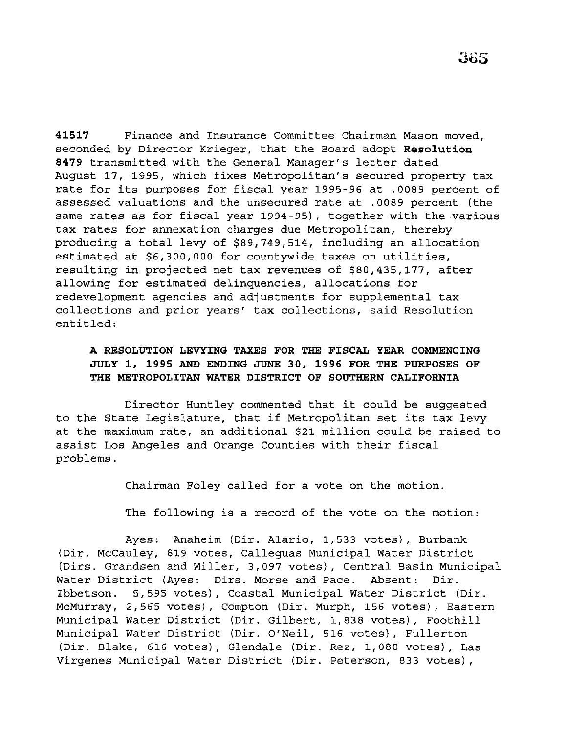**41517** Finance and Insurance Committee Chairman Mason moved, seconded by Director Krieger, that the Board adopt **Resolution**  8479 transmitted with the General Manager's letter dated August 17, 1995, which fixes Metropolitan's secured property tax rate for its purposes for fiscal year 1995-96 at .0089 percent of assessed valuations and the unsecured rate at .0089 percent (the same rates as for fiscal year 1994-95}, together with the various tax rates for annexation charges due Metropolitan, thereby producing a total levy of \$89,749,514, including an allocation estimated at \$6,300,000 for countywide taxes on utilities, resulting in projected net tax revenues of \$80,435,177, after allowing for estimated delinquencies, allocations for redevelopment agencies and adjustments for supplemental tax collections and prior years' tax collections, said Resolution entitled:

### **A RESOLUTION LEVYING TAXES FOR THE FISCAL YEAR COMMENCING JULY 1, 1995 AND ENDING JUNE 30, 1996 FOR THE PURPOSES OF THE METROPOLITAN WATER DISTRICT OF SOUTHERN CALIFORNIA**

Director Huntley commented that it could be suggested to the State Legislature, that if Metropolitan set its tax levy at the maximum rate, an additional \$21 million could be raised to assist Los Angeles and Orange Counties with their fiscal problems.

Chairman Foley called for a vote on the motion.

The following is a record of the vote on the motion:

Ayes: Anaheim (Dir. Alario, 1,533 votes}, Burbank (Dir. McCauley, 819 votes, Calleguas Municipal Water District (Dirs. Grandsen and Miller, 3,097 votes}, Central Basin Municipal Water District (Ayes: Dirs. Morse and Pace. Absent: Dir. Ibbetson. 5,595 votes}, Coastal Municipal Water District (Dir. McMurray, 2,565 votes), Compton (Dir. Murph, 156 votes), Eastern Municipal Water District (Dir. Gilbert, 1,838 votes}, Foothill Municipal Water District (Dir. O'Neil, 516 votes}, Fullerton (Dir. Blake, 616 votes), Glendale (Dir. Rez, 1,080 votes}, Las Virgenes Municipal Water District (Dir. Peterson, 833 votes),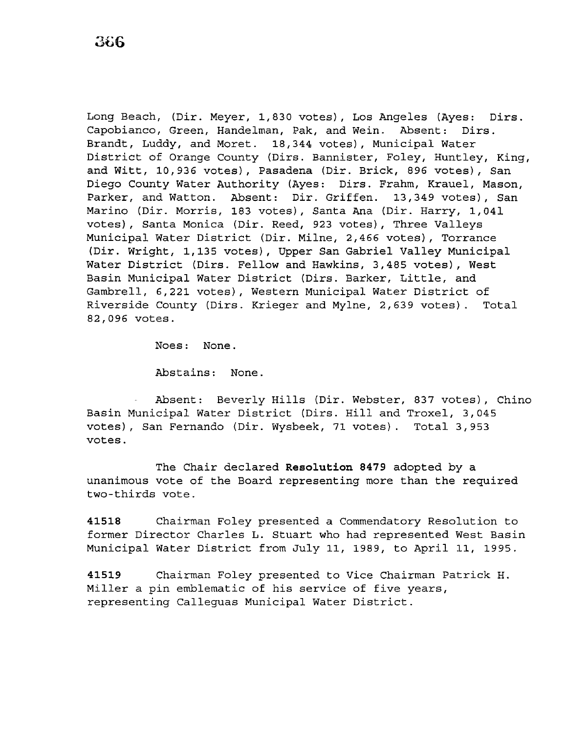Long Beach, (Dir. Meyer, 1,830 votes), Los Angeles (Ayes: Dirs. Capobianco, Green, Handelman, Pak, and Wein. Absent: Dirs. Brandt, Luddy, and Moret. 18,344 votes), Municipal Water District of Orange County (Dirs. Bannister, Foley, Huntley, King, and Witt, 10,936 votes), Pasadena (Dir. Brick, 896 votes), San Diego County Water Authority (Ayes: Dirs. Frahm, Krauel, Mason, Parker, and Watton. Absent: Dir. Griffen. 13,349 votes), San Marino (Dir. Morris, 183 votes), Santa Ana (Dir. Harry, 1,041 votes), Santa Monica (Dir. Reed, 923 votes), Three Valleys Municipal Water District (Dir. Milne, 2,466 votes), Torrance (Dir. Wright, 1,135 votes), Upper San Gabriel Valley Municipal Water District (Dirs. Fellow and Hawkins, 3,485 votes), West Basin Municipal Water District (Dirs. Barker, Little, and Gambrell, 6,221 votes), Western Municipal Water District of Riverside County (Dirs. Krieger and Mylne, 2,639 votes). Total 82,096 votes.

Noes: None.

Abstains: None.

Absent: Beverly Hills (Dir. Webster, 837 votes), Chino Basin Municipal Water District (Dirs. Hill and Troxel, 3,045 votes), San Fernando (Dir. Wysbeek, 71 votes). Total 3,953 votes.

The Chair declared **Resolution 8479** adopted by a unanimous vote of the Board representing more than the required two-thirds vote.

**41518** Chairman Foley presented a Commendatory Resolution to former Director Charles L. Stuart who had represented West Basin Municipal Water District from July 11, 1989, to April 11, 1995.

**41519** Chairman Foley presented to Vice Chairman Patrick H. Miller a pin emblematic of his service of five years, representing Calleguas Municipal Water District.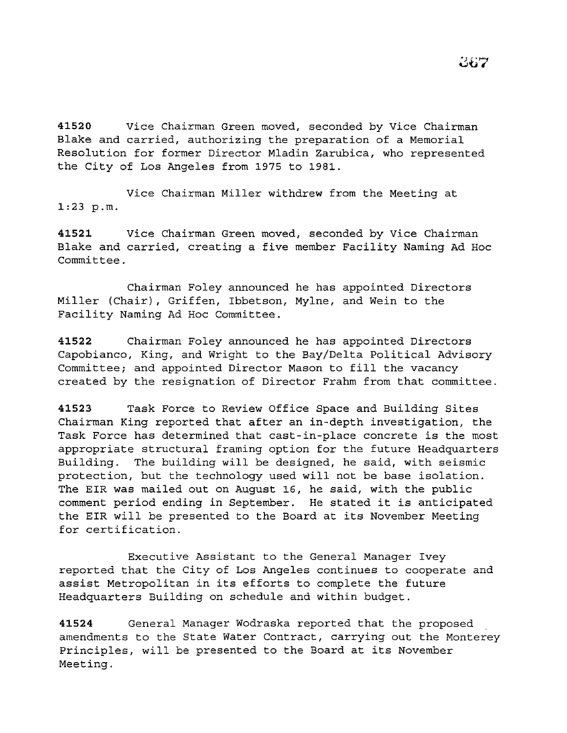**41520** Vice Chairman Green moved, seconded by Vice Chairman Blake and carried, authorizing the preparation of a Memorial Resolution for former Director Mladin Zarubica, who represented the City of Los Angeles from 1975 to 1981.

Vice Chairman Miller withdrew from the Meeting at 1:23 p.m.

**41521** Vice Chairman Green moved, seconded by Vice Chairman Blake and carried, creating a five member Facility Naming Ad Hoc Committee.

Chairman Foley announced he has appointed Directors Miller (Chair), Griffen, Ibbetson, Mylne, and Wein to the Facility Naming Ad Hoc Committee.

**41522** Chairman Foley announced he has appointed Directors Capobianco, King, and Wright to the Bay/Delta Political Advisory Committee; and appointed Director Mason to fill the vacancy created by the resignation of Director Frahm from that committee.

**41523** Task Force to Review Office Space and Building Sites Chairman King reported that after an in-depth investigation, the Task Force has determined that cast-in-place concrete is the most appropriate structural framing option for the future Headquarters Building. The building will be designed, he said, with seismic protection, but the technology used will not be base isolation. The EIR was mailed out on August 16, he said, with the public comment period ending in September. He stated it is anticipated the EIR will be presented to the Board at its November Meeting for certification.

Executive Assistant to the General Manager Ivey reported that the City of Los Angeles continues to cooperate and assist Metropolitan in its efforts to complete the future Headquarters Building on schedule and within budget.

**41524** General Manager Wodraska reported that the proposed amendments to the State Water Contract, carrying out the Monterey Principles, will be presented to the Board at its November Meeting.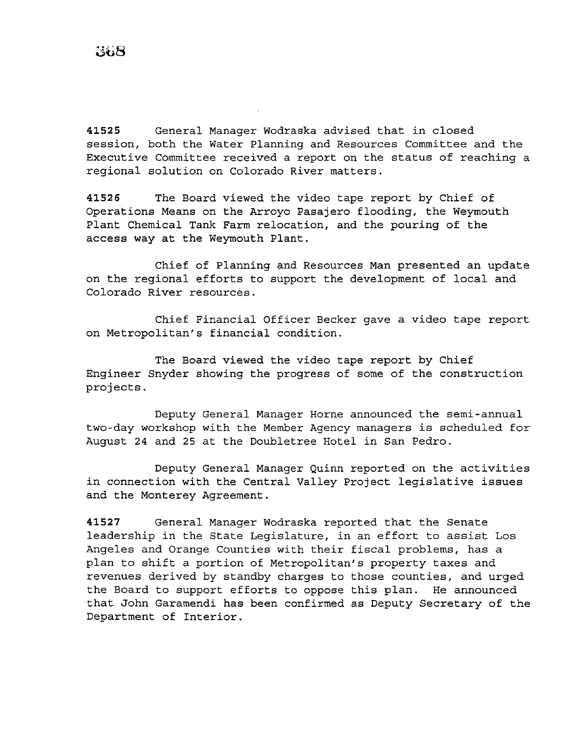**41525** General Manager Wodraska advised that in closed session, both the Water Planning and Resources Committee and the Executive Committee received a report on the status of reaching a regional solution on Colorado River matters.

**41526** The Board viewed the video tape report by Chief of Operations Means on the Arroyo Pasajero flooding, the Weymouth Plant Chemical Tank Farm relocation, and the pouring of the access way at the Weymouth Plant.

Chief of Planning and Resources Man presented an update on the regional efforts to support the development of local and Colorado River resources.

Chief Financial Officer Becker gave a video tape report on Metropolitan's financial condition.

The Board viewed the video tape report by Chief Engineer Snyder showing the progress of some of the construction projects.

Deputy General Manager Horne announced the semi-annual two-day workshop with the Member Agency managers is scheduled for August 24 and 25 at the Doubletree Hotel in San Pedro.

Deputy General Manager Quinn reported on the activities in connection with the Central Valley Project legislative issues and the Monterey Agreement.

**41527** General Manager Wodraska reported that the Senate leadership in the State Legislature, in an effort to assist Los Angeles and Orange Counties with their fiscal problems, has a plan to shift a portion of Metropolitan's property taxes and revenues derived by standby charges to those counties, and urged the Board to support efforts to oppose this plan. He announced that John Garamendi has been confirmed as Deputy Secretary of the Department of Interior.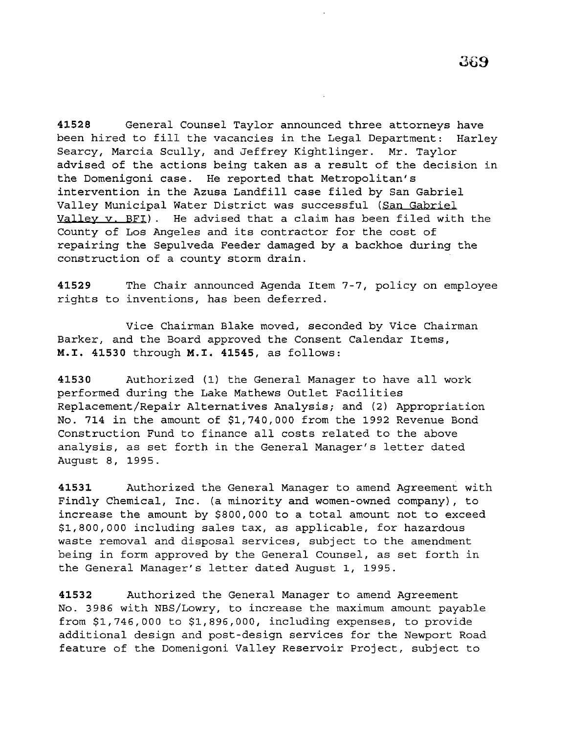**41528** General Counsel Taylor announced three attorneys have been hired to fill the vacancies in the Legal Department: Harley Searcy, Marcia Scully, and Jeffrey Kightlinger. Mr. Taylor advised of the actions being taken as a result of the decision in the Domenigoni case. He reported that Metropolitan's intervention in the Azusa Landfill case filed by San Gabriel Valley Municipal Water District was successful (San Gabriel Valley v. BFI). He advised that a claim has been filed with the County of Los Angeles and its contractor for the cost of repairing the Sepulveda Feeder damaged by a backhoe during the construction of a county storm drain.

**41529** The Chair announced Agenda Item 7-7, policy on employee rights to inventions, has been deferred.

Vice Chairman Blake moved, seconded by Vice Chairman Barker, and the Board approved the Consent Calendar Items, **M.I. 41530** through **M.I. 41545,** as follows:

**<sup>41530</sup>**Authorized (1) the General Manager to have all work performed during the Lake Mathews Outlet Facilities Replacement/Repair Alternatives Analysis; and (2) Appropriation No. 714 in the amount of \$1,740,000 from the 1992 Revenue Bond Construction Fund to finance all costs related to the above analysis, as set forth in the General Manager's letter dated August 8, 1995.

**41531** Authorized the General Manager to amend Agreement with Findly Chemical, Inc. (a minority and women-owned company), to increase the amount by \$800,000 to a total amount not to exceed \$1,800,000 including sales tax, as applicable, for hazardous waste removal and disposal services, subject to the amendment being in form approved by the General Counsel, as set forth in the General Manager's letter dated August 1, 1995.

**41532** Authorized the General Manager to amend Agreement No. 3986 with NBS/Lowry, to increase the maximum amount payable from \$1,746,000 to \$1,896,000, including expenses, to provide additional design and post-design services for the Newport Road feature of the Domenigoni Valley Reservoir Project, subject to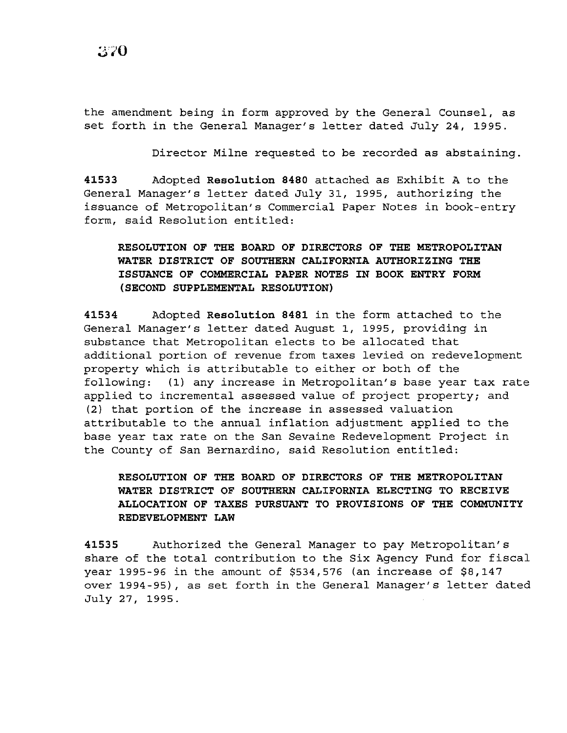the amendment being in form approved by the General Counsel, as set forth in the General Manager's letter dated July 24, 1995.

Director Milne requested to be recorded as abstaining.

**41533** Adopted **Resolution 8480** attached as Exhibit A to the General Manager's letter dated July 31, 1995, authorizing the issuance of Metropolitan's Commercial Paper Notes in book-entry form, said Resolution entitled:

## **RESOLUTION OF THE BOARD OF DIRECTORS OF THE METROPOLITAN WATER DISTRICT OF SOUTHERN CALIFORNIA AUTHORIZING THE ISSUANCE OF COMMERCIAL PAPER NOTES IN BOOK ENTRY FORM (SECOND SUPPLEMENTAL RESOLUTION)**

**41534** Adopted **Resolution 8481** in the form attached to the General Manager's letter dated August 1, 1995, providing in substance that Metropolitan elects to be allocated that additional portion of revenue from taxes levied on redevelopment property which is attributable to either or both of the following: (1) any increase in Metropolitan's base year tax rate applied to incremental assessed value of project property; and (2) that portion of the increase in assessed valuation attributable to the annual inflation adjustment applied to the base year tax rate on the San Sevaine Redevelopment Project in the County of San Bernardino, said Resolution entitled:

## **RESOLUTION OF THE BOARD OF DIRECTORS OF THE METROPOLITAN WATER DISTRICT OF SOUTHERN CALIFORNIA ELECTING TO RECEIVE ALLOCATION OF TAXES PURSUANT TO PROVISIONS OF THE COMMUNITY REDEVELOPMENT LAW**

**41535** Authorized the General Manager to pay Metropolitan's share of the total contribution to the Six Agency Fund for fiscal year 1995-96 in the amount of \$534,576 (an increase of \$8,147 over 1994-95), as set forth in the General Manager's letter dated July 27, 1995.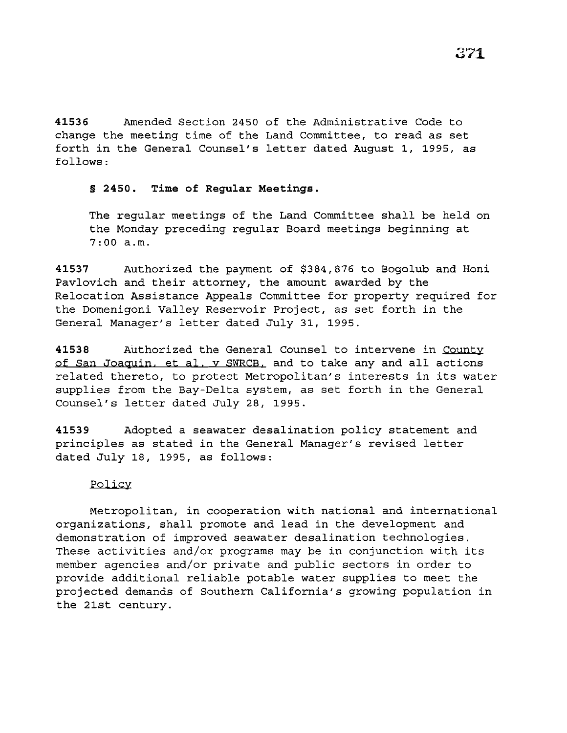**41536** Amended Section 2450 of the Administrative Code to change the meeting time of the Land Committee, to read as set forth in the General Counsel's letter dated August 1, 1995, as follows:

### § **2450. Time of Regular Meetings.**

The regular meetings of the Land Committee shall be held on the Monday preceding regular Board meetings beginning at 7:00 a.m.

**41537** Authorized the payment of \$384,876 to Bogolub and Honi Pavlovich and their attorney, the amount awarded by the Relocation Assistance Appeals Committee for property required for the Domenigoni Valley Reservoir Project, as set forth in the General Manager's letter dated July 31, 1995.

**41538** Authorized the General Counsel to intervene in County of San Joaquin. et al. v SWRCB. and to take any and all actions related thereto, to protect Metropolitan's interests in its water supplies from the Bay-Delta system, as set forth in the General Counsel's letter dated July 28, 1995.

**41539** Adopted a seawater desalination policy statement and principles as stated in the General Manager's revised letter dated July 18, 1995, as follows:

### Policy

Metropolitan, in cooperation with national and international organizations, shall promote and lead in the development and demonstration of improved seawater desalination technologies. These activities and/or programs may be in conjunction with its member agencies and/or private and public sectors in order to provide additional reliable potable water supplies to meet the projected demands of Southern California's growing population in the 21st century.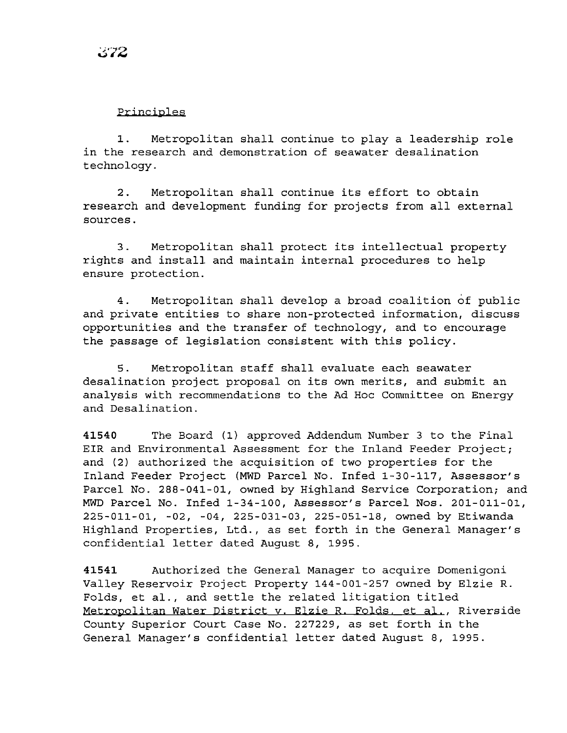### Principles

1. Metropolitan shall continue to play a leadership role in the research and demonstration of seawater desalination technology.

2. Metropolitan shall continue its effort to obtain research and development funding for projects from all external sources.

3. Metropolitan shall protect its intellectual property rights and install and maintain internal procedures to help ensure protection.

4. Metropolitan shall develop a broad coalition of public and private entities to share non-protected information, discuss opportunities and the transfer of technology, and to encourage the passage of legislation consistent with this policy.

5. Metropolitan staff shall evaluate each seawater desalination project proposal on its own merits, and submit an analysis with recommendations to the Ad Hoc Committee on Energy and Desalination.

**41540** The Board (1) approved Addendum Number 3 to the Final EIR and Environmental Assessment for the Inland Feeder Project; and (2) authorized the acquisition of two properties for the Inland Feeder Project (MWD Parcel No. Infed 1-30-117, Assessor's Parcel No. 288-041-01, owned by Highland Service Corporation; and MWD Parcel No. Infed 1-34-100, Assessor's Parcel Nos. 201-011-01, 225-011-01, -02, -04, 225-031-03, 225-051-18, owned by Etiwanda Highland Properties, Ltd., as set forth in the General Manager's confidential letter dated August 8, 1995.

**41541** Authorized the General Manager to acquire Domenigoni Valley Reservoir Project Property 144-001-257 owned by Elzie R. Folds, et al., and settle the related litigation titled Metropolitan Water District y. Elzie R. Folds. et al., Riverside County Superior Court Case No. 227229, as set forth in the General Manager's confidential letter dated August 8, 1995.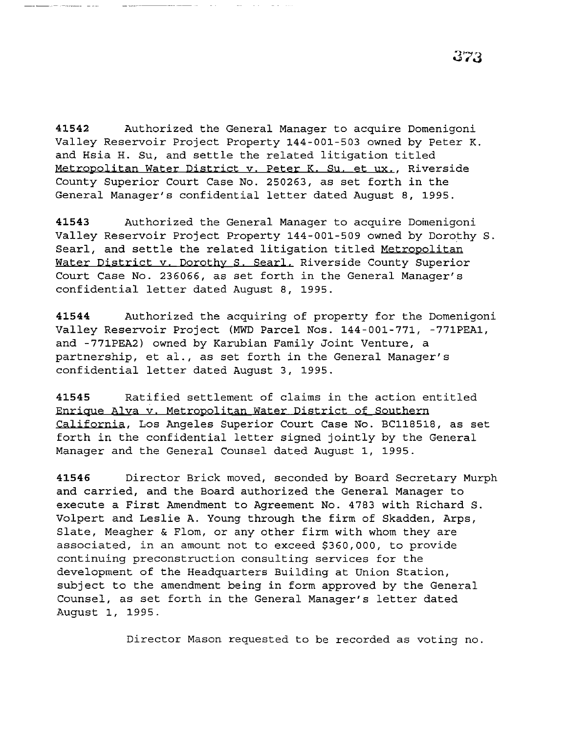**41542** Authorized the General Manager to acquire Domenigoni Valley Reservoir Project Property 144-001-503 owned by Peter K. and Hsia H. Su, and settle the related litigation titled Metropolitan Water District v. Peter K. Su. et ux., Riverside County Superior Court Case No. 250263, as set forth in the General Manager's confidential letter dated August 8, 1995.

**41543** Authorized the General Manager to acquire Domenigoni Valley Reservoir Project Property 144-001-509 owned by Dorothy S. Searl, and settle the related litigation titled Metropolitan Water District y. Dorothy S. Searl. Riverside County Superior Court Case No. 236066, as set forth in the General Manager's confidential letter dated August 8, 1995.

**41544** Authorized the acquiring of property for the Domenigoni Valley Reservoir Project (MWD Parcel Nos. 144-001-771, -771PEA1, and -771PEA2) owned by Karubian Family Joint Venture, a partnership, et al., as set forth in the General Manager's confidential letter dated August 3, 1995.

**41545** Ratified settlement of claims in the action entitled Enrique Alva v. Metropolitan Water District of Southern California, Los Angeles Superior Court Case No. BC118518, as set forth in the confidential letter signed jointly by the General Manager and the General Counsel dated August 1, 1995.

**41546** Director Brick moved, seconded by Board Secretary Murph and carried, and the Board authorized the General Manager to execute a First Amendment to Agreement No. 4783 with Richard S. Volpert and Leslie A. Young through the firm of Skadden, Arps, Slate, Meagher & Flom, or any other firm with whom they are associated, in an amount not to exceed \$360,000, to provide continuing preconstruction consulting services for the development of the Headquarters Building at Union Station, subject to the amendment being in form approved by the General Counsel, as set forth in the General Manager's letter dated August 1, 1995.

Director Mason requested to be recorded as voting no.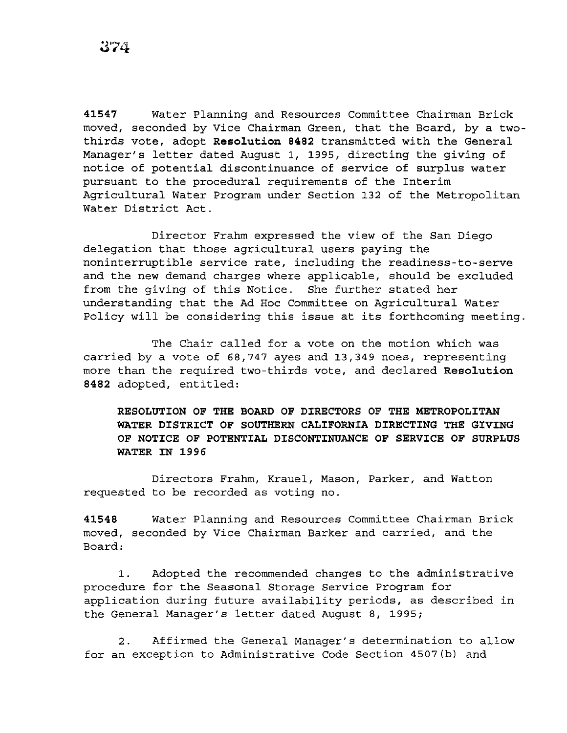**41547** Water Planning and Resources Committee Chairman Brick moved, seconded by Vice Chairman Green, that the Board, by a twothirds vote, adopt **Resolution 8482** transmitted with the General Manager's letter dated August 1, 1995, directing the *giving* of notice of potential discontinuance of service of surplus water pursuant to the procedural requirements of the Interim Agricultural Water Program under Section 132 of the Metropolitan Water District Act.

Director Frahm expressed the view of the San Diego delegation that those agricultural users paying the noninterruptible service rate, including the readiness-to-serve and the new demand charges where applicable, should be excluded from the giving of this Notice. She further stated her understanding that the Ad Hoc Committee on Agricultural Water Policy will be considering this issue at its forthcoming meeting.

The Chair called for a vote on the motion which was carried by a vote of 68,747 ayes and 13,349 noes, representing more than the required two-thirds vote, and declared **Resolution 8482** adopted, entitled:

**RESOLUTION OF THE BOARD OF DIRECTORS OF THE METROPOLITAN WATER DISTRICT OF SOUTHERN CALIFORNIA DIRECTING THE GIVING OF NOTICE OF POTENTIAL DISCONTINUANCE OF SERVICE OF SURPLUS WATER IN 1996** 

Directors Frahm, Krauel, Mason, Parker, and Watton requested to be recorded as voting no.

**41548** Water Planning and Resources Committee Chairman Brick moved, seconded by Vice Chairman Barker and carried, and the Board:

1. Adopted the recommended changes to the administrative procedure for the Seasonal Storage Service Program for application during future availability periods, as described in the General Manager's letter dated August 8, 1995;

2. Affirmed the General Manager's determination to allow for an exception to Administrative Code Section 4507(b) and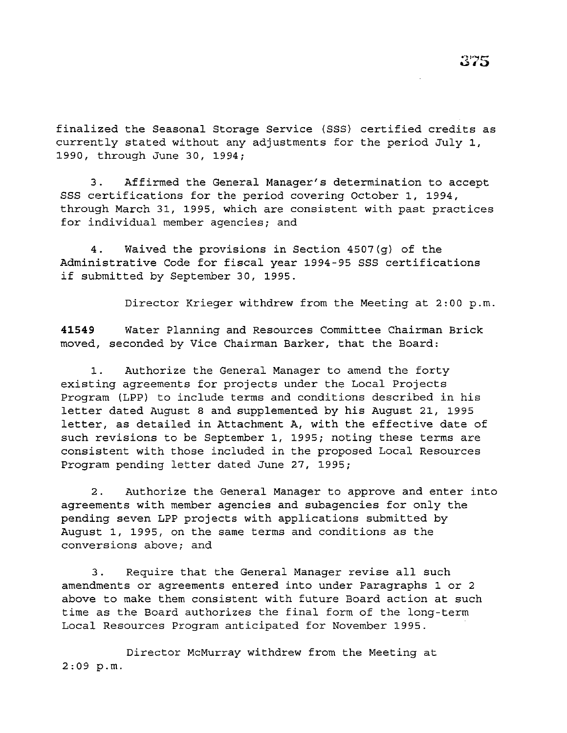finalized the Seasonal Storage Service (SSS) certified credits as currently stated without any adjustments for the period July 1, 1990, through June 30, 1994;

3. Affirmed the General Manager's determination to accept SSS certifications for the period covering October 1, 1994, through March 31, 1995, which are consistent with past practices for individual member agencies; and

4. Waived the provisions in Section 4507(g) of the Administrative Code for fiscal year 1994-95 SSS certifications if submitted by September 30, 1995.

Director Krieger withdrew from the Meeting at 2:00 p.m.

**41549** Water Planning and Resources Committee Chairman Brick moved, seconded by Vice Chairman Barker, that the Board:

1. Authorize the General Manager to amend the forty existing agreements for projects under the Local Projects Program (LPP) to include terms and conditions described in his letter dated August 8 and supplemented by his August 21, 1995 letter, as detailed in Attachment A, with the effective date of such revisions to be September 1, 1995; noting these terms are consistent with those included in the proposed Local Resources Program pending letter dated June 27, 1995;

2. Authorize the General Manager to approve and enter into agreements with member agencies and subagencies for only the pending seven LPP projects with applications submitted by August 1, 1995, on the same terms and conditions as the conversions above; and

3. Require that the General Manager revise all such amendments or agreements entered into under Paragraphs 1 or 2 above to make them consistent with future Board action at such time as the Board authorizes the final form of the long-term Local Resources Program anticipated for November 1995.

Director McMurray withdrew from the Meeting at  $2:09$  p.m.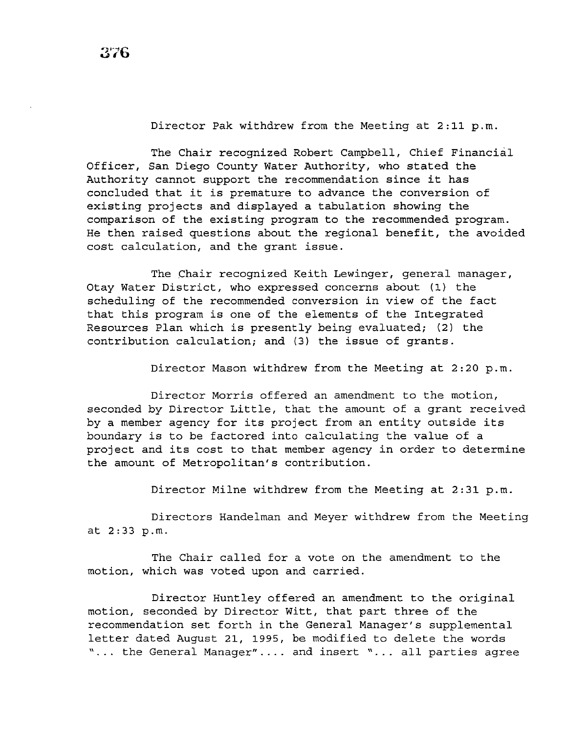Director Pak withdrew from the Meeting at  $2:11$  p.m.

The Chair recognized Robert Campbell, Chief Financial Officer, San Diego County Water Authority, who stated the Authority cannot support the recommendation since it has concluded that it is premature to advance the conversion of existing projects and displayed a tabulation showing the comparison of the existing program to the recommended program. He then raised questions about the regional benefit, the avoided cost calculation, and the grant issue.

The chair recognized Keith Lewinger, general manager, Otay Water District, who expressed concerns about (1) the scheduling of the recommended conversion in view of the fact that this program is one of the elements of the Integrated Resources Plan which is presently being evaluated; (2) the contribution calculation; and (3) the issue of grants.

Director Mason withdrew from the Meeting at 2:20 p.m.

Director Morris offered an amendment to the motion, seconded by Director Little, that the amount of a grant received by a member agency for its project from an entity outside its boundary is to be factored into calculating the value of a project and its cost to that member agency in order to determine the amount of Metropolitan's contribution.

Director Milne withdrew from the Meeting at  $2:31$  p.m.

Directors Handelman and Meyer withdrew from the Meeting at 2:33p.m.

The Chair called for a vote on the amendment to the motion, which was voted upon and carried.

Director Huntley offered an amendment to the original motion, seconded by Director Witt, that part three of the recommendation set forth in the General Manager's supplemental letter dated August 21, 1995, be modified to delete the words "... the General Manager".... and insert "... all parties agree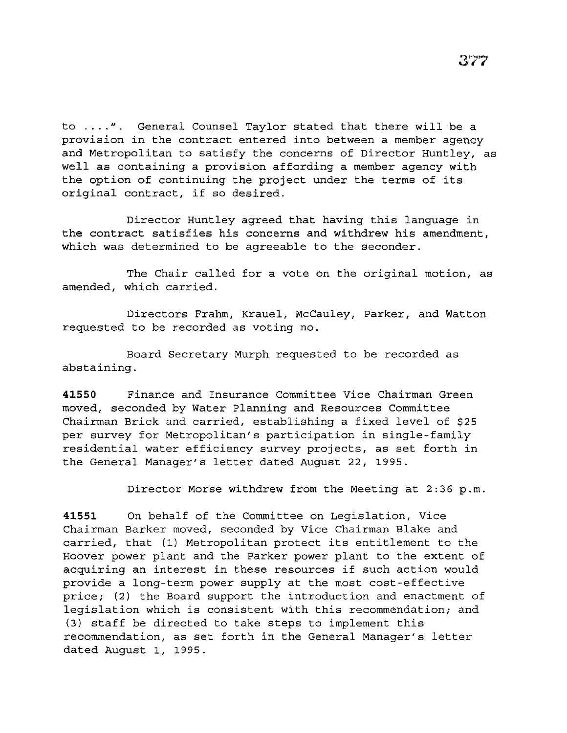to  $\ldots$ .". General Counsel Taylor stated that there will be a provision in the contract entered into between a member agency and Metropolitan to satisfy the concerns of Director Huntley, as well as containing a provision affording a member agency with the option of continuing the project under the terms of its original contract, if so desired.

Director Huntley agreed that having this language in the contract satisfies his concerns and withdrew his amendment, which was determined to be agreeable to the seconder.

The Chair called for a vote on the original motion, as amended, which carried.

Directors Frahm, Krauel, McCauley, Parker, and Watton requested to be recorded as voting no.

Board Secretary Murph requested to be recorded as abstaining.

**41550** Finance and Insurance Committee Vice Chairman Green moved, seconded by Water Planning and Resources Committee Chairman Brick and carried, establishing a fixed level of \$25 per survey for Metropolitan's participation in single-family residential water efficiency survey projects, as set forth in the General Manager's letter dated August 22, 1995.

Director Morse withdrew from the Meeting at 2:36 p.m.

**41551** On behalf of the Committee on Legislation, Vice Chairman Barker moved, seconded by Vice Chairman Blake and carried, that (1) Metropolitan protect its entitlement to the Hoover power plant and the Parker power plant to the extent of acquiring an interest in these resources if such action would provide a long-term power supply at the most cost-effective price; (2) the Board support the introduction and enactment of legislation which is consistent with this recommendation; and (3) staff be directed to take steps to implement this recommendation, as set forth in the General Manager's letter dated August 1, 1995.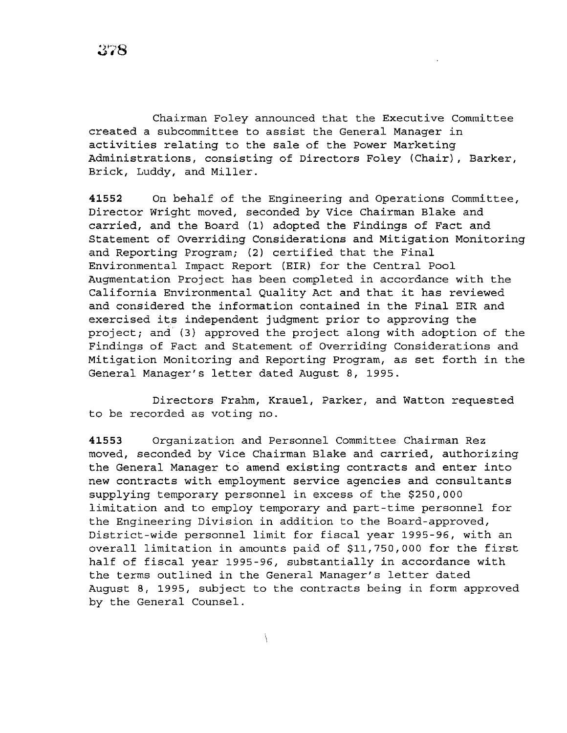Chairman Foley announced that the Executive Committee created a subcommittee to assist the General Manager in activities relating to the sale of the Power Marketing Administrations, consisting of Directors Foley (Chair), Barker, Brick, Luddy, and Miller.

**41552** On behalf of the Engineering and Operations Committee, Director Wright moved, seconded by Vice Chairman Blake and carried, and the Board (1) adopted the Findings of Fact and Statement of Overriding Considerations and Mitigation Monitoring and Reporting Program; (2) certified that the Final Environmental Impact Report (EIR) for the Central Pool Augmentation Project has been completed in accordance with the California Environmental Quality Act and that it has reviewed and considered the information contained in the Final EIR and exercised its independent judgment prior to approving the project; and  $(3)$  approved the project along with adoption of the Findings of Fact and Statement of Overriding Considerations and Mitigation Monitoring and Reporting Program, as set forth in the General Manager's letter dated August 8, 1995.

Directors Frahm, Krauel, Parker, and Watton requested to be recorded as voting no.

**41553** Organization and Personnel Committee Chairman Rez moved, seconded by Vice Chairman Blake and carried, authorizing the General Manager to amend existing contracts and enter into new contracts with employment service agencies and consultants supplying temporary personnel in excess of the \$250,000 limitation and to employ temporary and part-time personnel for the Engineering Division in addition to the Board-approved, District-wide personnel limit for fiscal year 1995-96, with an overall limitation in amounts paid of \$11,750,000 for the first half of fiscal year 1995-96, substantially in accordance with the terms outlined in the General Manager's letter dated August 8, 1995, subject to the contracts being in form approved by the General Counsel.

 $\setminus$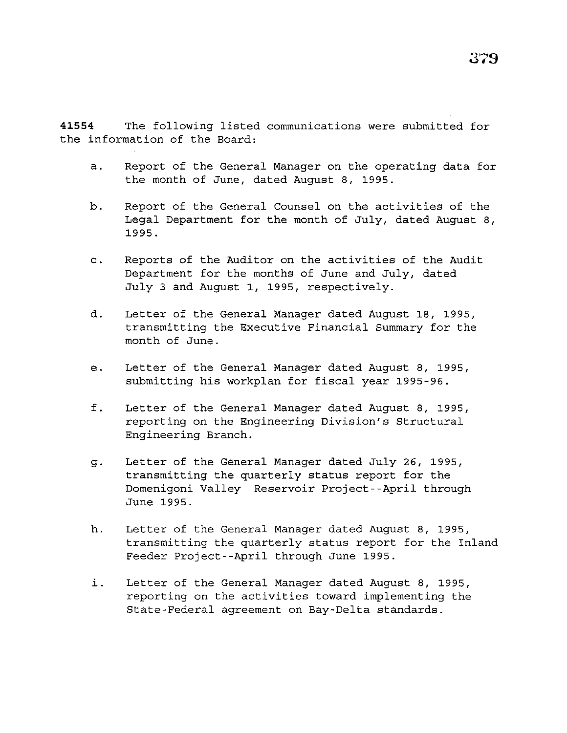**41554** The following listed communications were submitted for the information of the Board:

- a. Report of the General Manager on the operating data for the month of June, dated August 8, 1995.
- b. Report of the General Counsel on the activities of the Legal Department for the month of July, dated August 8, 1995.
- c. Reports of the Auditor on the activities of the Audit Department for the months of June and July, dated July 3 and August 1, 1995, respectively.
- d. Letter of the General Manager dated August 18, 1995, transmitting the Executive Financial Summary for the month of June.
- e. Letter of the General Manager dated August 8, 1995, submitting his workplan for fiscal year 1995-96.
- f. Letter of the General Manager dated August 8, 1995, reporting on the Engineering Division's Structural Engineering Branch.
- g. Letter of the General Manager dated July 26, 1995, transmitting the quarterly status report for the Domenigoni Valley Reservoir Project--April through June 1995.
- h. Letter of the General Manager dated August 8, 1995, transmitting the quarterly status report for the Inland Feeder Project--April through June 1995.
- i. Letter of the General Manager dated August 8, 1995, reporting on the activities toward implementing the State-Federal agreement on Bay-Delta standards.